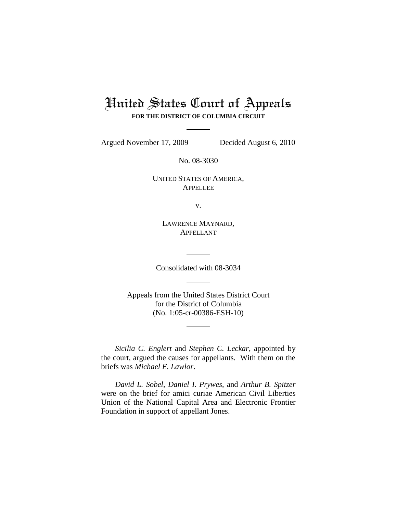# United States Court of Appeals **FOR THE DISTRICT OF COLUMBIA CIRCUIT**

Argued November 17, 2009 Decided August 6, 2010

No. 08-3030

UNITED STATES OF AMERICA, APPELLEE

v.

LAWRENCE MAYNARD, APPELLANT

Consolidated with 08-3034

Appeals from the United States District Court for the District of Columbia (No. 1:05-cr-00386-ESH-10)

*Sicilia C. Englert* and *Stephen C. Leckar*, appointed by the court, argued the causes for appellants. With them on the briefs was *Michael E. Lawlor*.

*David L. Sobel*, *Daniel I. Prywes*, and *Arthur B. Spitzer* were on the brief for amici curiae American Civil Liberties Union of the National Capital Area and Electronic Frontier Foundation in support of appellant Jones.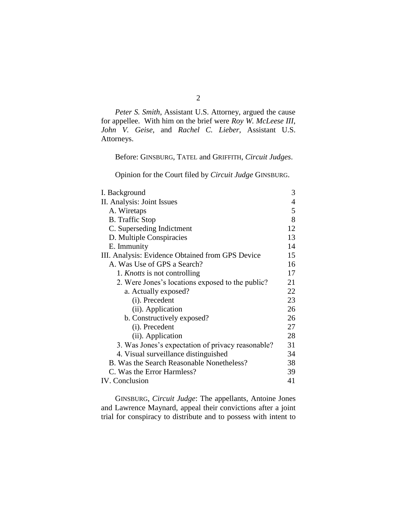*Peter S. Smith*, Assistant U.S. Attorney, argued the cause for appellee. With him on the brief were *Roy W. McLeese III*, *John V. Geise*, and *Rachel C. Lieber*, Assistant U.S. Attorneys.

Before: GINSBURG, TATEL and GRIFFITH, *Circuit Judges*.

Opinion for the Court filed by *Circuit Judge* GINSBURG.

| I. Background                                     | 3  |
|---------------------------------------------------|----|
| II. Analysis: Joint Issues                        | 4  |
| A. Wiretaps                                       | 5  |
| <b>B.</b> Traffic Stop                            | 8  |
| C. Superseding Indictment                         | 12 |
| D. Multiple Conspiracies                          | 13 |
| E. Immunity                                       | 14 |
| III. Analysis: Evidence Obtained from GPS Device  | 15 |
| A. Was Use of GPS a Search?                       | 16 |
| 1. <i>Knotts</i> is not controlling               | 17 |
| 2. Were Jones's locations exposed to the public?  | 21 |
| a. Actually exposed?                              | 22 |
| (i). Precedent                                    | 23 |
| (ii). Application                                 | 26 |
| b. Constructively exposed?                        | 26 |
| (i). Precedent                                    | 27 |
| (ii). Application                                 | 28 |
| 3. Was Jones's expectation of privacy reasonable? | 31 |
| 4. Visual surveillance distinguished              | 34 |
| B. Was the Search Reasonable Nonetheless?         | 38 |
| C. Was the Error Harmless?                        | 39 |
| <b>IV.</b> Conclusion                             | 41 |

GINSBURG, *Circuit Judge*: The appellants, Antoine Jones and Lawrence Maynard, appeal their convictions after a joint trial for conspiracy to distribute and to possess with intent to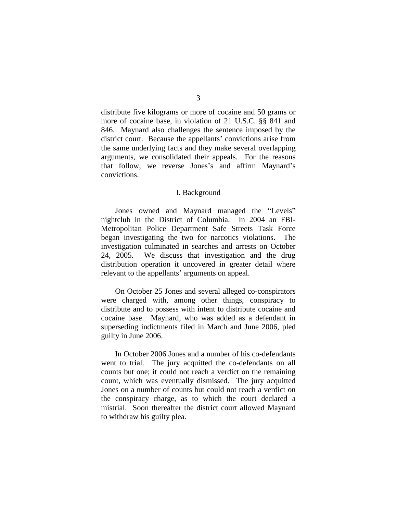distribute five kilograms or more of cocaine and 50 grams or more of cocaine base, in violation of 21 U.S.C. §§ 841 and 846. Maynard also challenges the sentence imposed by the district court. Because the appellants' convictions arise from the same underlying facts and they make several overlapping arguments, we consolidated their appeals. For the reasons that follow, we reverse Jones's and affirm Maynard's convictions.

## I. Background

<span id="page-2-0"></span>Jones owned and Maynard managed the "Levels" nightclub in the District of Columbia. In 2004 an FBI-Metropolitan Police Department Safe Streets Task Force began investigating the two for narcotics violations. The investigation culminated in searches and arrests on October 24, 2005.We discuss that investigation and the drug distribution operation it uncovered in greater detail where relevant to the appellants' arguments on appeal.

On October 25 Jones and several alleged co-conspirators were charged with, among other things, conspiracy to distribute and to possess with intent to distribute cocaine and cocaine base. Maynard, who was added as a defendant in superseding indictments filed in March and June 2006, pled guilty in June 2006.

In October 2006 Jones and a number of his co-defendants went to trial. The jury acquitted the co-defendants on all counts but one; it could not reach a verdict on the remaining count, which was eventually dismissed. The jury acquitted Jones on a number of counts but could not reach a verdict on the conspiracy charge, as to which the court declared a mistrial. Soon thereafter the district court allowed Maynard to withdraw his guilty plea.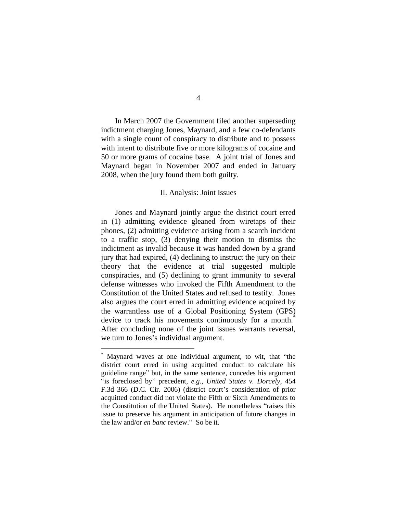In March 2007 the Government filed another superseding indictment charging Jones, Maynard, and a few co-defendants with a single count of conspiracy to distribute and to possess with intent to distribute five or more kilograms of cocaine and 50 or more grams of cocaine base. A joint trial of Jones and Maynard began in November 2007 and ended in January 2008, when the jury found them both guilty.

# II. Analysis: Joint Issues

<span id="page-3-0"></span>Jones and Maynard jointly argue the district court erred in (1) admitting evidence gleaned from wiretaps of their phones, (2) admitting evidence arising from a search incident to a traffic stop, (3) denying their motion to dismiss the indictment as invalid because it was handed down by a grand jury that had expired, (4) declining to instruct the jury on their theory that the evidence at trial suggested multiple conspiracies, and (5) declining to grant immunity to several defense witnesses who invoked the Fifth Amendment to the Constitution of the United States and refused to testify. Jones also argues the court erred in admitting evidence acquired by the warrantless use of a Global Positioning System (GPS) device to track his movements continuously for a month.<sup>\*</sup> After concluding none of the joint issues warrants reversal, we turn to Jones's individual argument.

 $\overline{a}$ 

Maynard waves at one individual argument, to wit, that "the district court erred in using acquitted conduct to calculate his guideline range" but, in the same sentence, concedes his argument ―is foreclosed by‖ precedent, *e.g.*, *United States v. Dorcely*, 454 F.3d 366 (D.C. Cir. 2006) (district court's consideration of prior acquitted conduct did not violate the Fifth or Sixth Amendments to the Constitution of the United States). He nonetheless "raises this issue to preserve his argument in anticipation of future changes in the law and/or *en banc* review." So be it.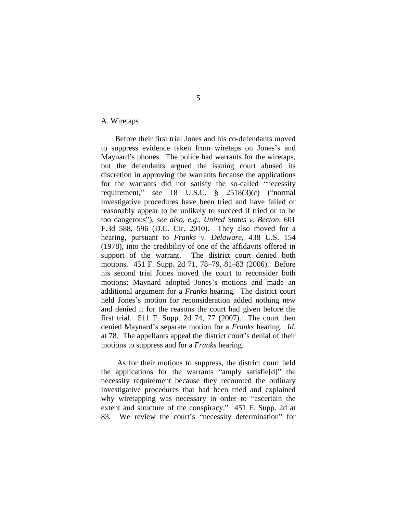# <span id="page-4-0"></span>A. Wiretaps

Before their first trial Jones and his co-defendants moved to suppress evidence taken from wiretaps on Jones's and Maynard's phones. The police had warrants for the wiretaps, but the defendants argued the issuing court abused its discretion in approving the warrants because the applications for the warrants did not satisfy the so-called "necessity requirement,"  $see$  18 U.S.C.  $§$  2518(3)(c) ("normal investigative procedures have been tried and have failed or reasonably appear to be unlikely to succeed if tried or to be too dangerous‖); *see also, e.g.*, *United States v. Becton*, 601 F.3d 588, 596 (D.C. Cir. 2010). They also moved for a hearing, pursuant to *Franks v. Delaware*, 438 U.S. 154 (1978), into the credibility of one of the affidavits offered in support of the warrant. The district court denied both motions. 451 F. Supp. 2d 71, 78–79, 81–83 (2006). Before his second trial Jones moved the court to reconsider both motions; Maynard adopted Jones's motions and made an additional argument for a *Franks* hearing. The district court held Jones's motion for reconsideration added nothing new and denied it for the reasons the court had given before the first trial. 511 F. Supp. 2d 74, 77 (2007). The court then denied Maynard's separate motion for a *Franks* hearing. *Id.*  at 78. The appellants appeal the district court's denial of their motions to suppress and for a *Franks* hearing.

As for their motions to suppress, the district court held the applications for the warrants "amply satisfield]" the necessity requirement because they recounted the ordinary investigative procedures that had been tried and explained why wiretapping was necessary in order to "ascertain the extent and structure of the conspiracy." 451 F. Supp. 2d at 83. We review the court's "necessity determination" for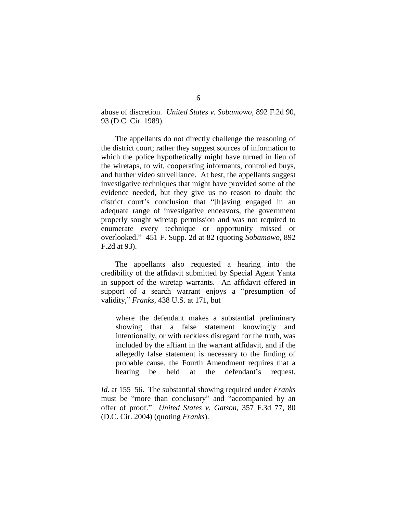abuse of discretion. *United States v. Sobamowo*, 892 F.2d 90, 93 (D.C. Cir. 1989).

The appellants do not directly challenge the reasoning of the district court; rather they suggest sources of information to which the police hypothetically might have turned in lieu of the wiretaps, to wit, cooperating informants, controlled buys, and further video surveillance. At best, the appellants suggest investigative techniques that might have provided some of the evidence needed, but they give us no reason to doubt the district court's conclusion that "[h]aving engaged in an adequate range of investigative endeavors, the government properly sought wiretap permission and was not required to enumerate every technique or opportunity missed or overlooked.‖ 451 F. Supp. 2d at 82 (quoting *Sobamowo*, 892 F.2d at 93).

The appellants also requested a hearing into the credibility of the affidavit submitted by Special Agent Yanta in support of the wiretap warrants. An affidavit offered in support of a search warrant enjoys a "presumption of validity," *Franks*, 438 U.S. at 171, but

where the defendant makes a substantial preliminary showing that a false statement knowingly and intentionally, or with reckless disregard for the truth, was included by the affiant in the warrant affidavit, and if the allegedly false statement is necessary to the finding of probable cause, the Fourth Amendment requires that a hearing be held at the defendant's request.

*Id.* at 155–56. The substantial showing required under *Franks* must be "more than conclusory" and "accompanied by an offer of proof.‖ *United States v. Gatson*, 357 F.3d 77, 80 (D.C. Cir. 2004) (quoting *Franks*).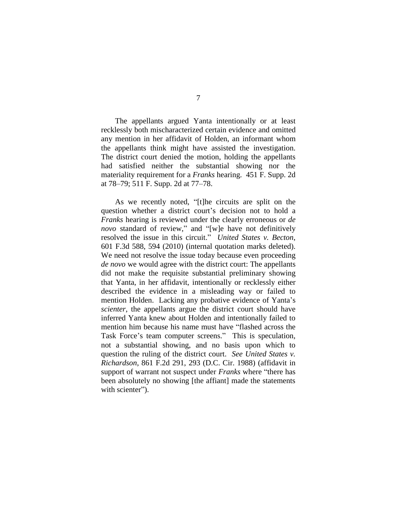The appellants argued Yanta intentionally or at least recklessly both mischaracterized certain evidence and omitted any mention in her affidavit of Holden, an informant whom the appellants think might have assisted the investigation. The district court denied the motion, holding the appellants had satisfied neither the substantial showing nor the materiality requirement for a *Franks* hearing. 451 F. Supp. 2d at 78–79; 511 F. Supp. 2d at 77–78.

As we recently noted, "[t]he circuits are split on the question whether a district court's decision not to hold a *Franks* hearing is reviewed under the clearly erroneous or *de novo* standard of review," and "[w]e have not definitively resolved the issue in this circuit." *United States v. Becton*, 601 F.3d 588, 594 (2010) (internal quotation marks deleted). We need not resolve the issue today because even proceeding *de novo* we would agree with the district court: The appellants did not make the requisite substantial preliminary showing that Yanta, in her affidavit, intentionally or recklessly either described the evidence in a misleading way or failed to mention Holden. Lacking any probative evidence of Yanta's *scienter*, the appellants argue the district court should have inferred Yanta knew about Holden and intentionally failed to mention him because his name must have "flashed across the Task Force's team computer screens." This is speculation, not a substantial showing, and no basis upon which to question the ruling of the district court. *See United States v. Richardson*, 861 F.2d 291, 293 (D.C. Cir. 1988) (affidavit in support of warrant not suspect under *Franks* where "there has been absolutely no showing [the affiant] made the statements with scienter").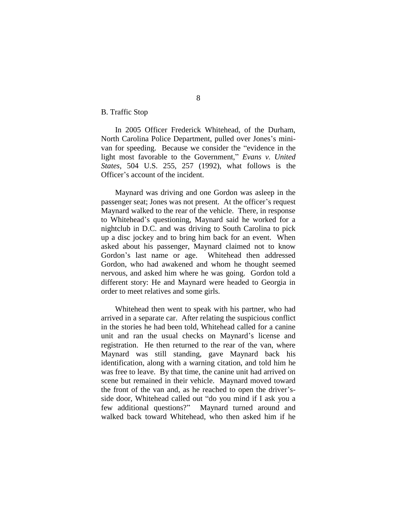<span id="page-7-0"></span>B. Traffic Stop

In 2005 Officer Frederick Whitehead, of the Durham, North Carolina Police Department, pulled over Jones's minivan for speeding. Because we consider the "evidence in the light most favorable to the Government," *Evans v. United States*, 504 U.S. 255, 257 (1992), what follows is the Officer's account of the incident.

Maynard was driving and one Gordon was asleep in the passenger seat; Jones was not present. At the officer's request Maynard walked to the rear of the vehicle. There, in response to Whitehead's questioning, Maynard said he worked for a nightclub in D.C. and was driving to South Carolina to pick up a disc jockey and to bring him back for an event. When asked about his passenger, Maynard claimed not to know Gordon's last name or age. Whitehead then addressed Gordon, who had awakened and whom he thought seemed nervous, and asked him where he was going. Gordon told a different story: He and Maynard were headed to Georgia in order to meet relatives and some girls.

Whitehead then went to speak with his partner, who had arrived in a separate car. After relating the suspicious conflict in the stories he had been told, Whitehead called for a canine unit and ran the usual checks on Maynard's license and registration. He then returned to the rear of the van, where Maynard was still standing, gave Maynard back his identification, along with a warning citation, and told him he was free to leave. By that time, the canine unit had arrived on scene but remained in their vehicle. Maynard moved toward the front of the van and, as he reached to open the driver'sside door, Whitehead called out "do you mind if I ask you a few additional questions?" Maynard turned around and walked back toward Whitehead, who then asked him if he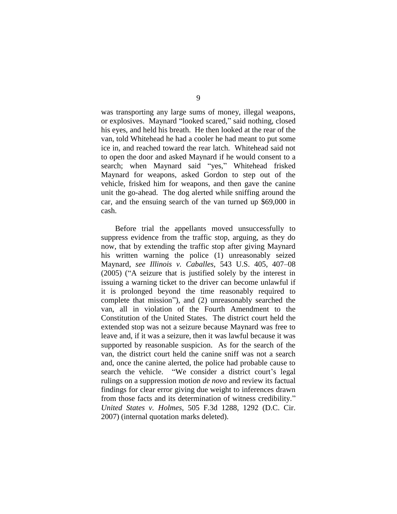was transporting any large sums of money, illegal weapons, or explosives. Maynard "looked scared," said nothing, closed his eyes, and held his breath. He then looked at the rear of the van, told Whitehead he had a cooler he had meant to put some ice in, and reached toward the rear latch. Whitehead said not to open the door and asked Maynard if he would consent to a search; when Maynard said "yes," Whitehead frisked Maynard for weapons, asked Gordon to step out of the vehicle, frisked him for weapons, and then gave the canine unit the go-ahead. The dog alerted while sniffing around the car, and the ensuing search of the van turned up \$69,000 in cash.

Before trial the appellants moved unsuccessfully to suppress evidence from the traffic stop, arguing, as they do now, that by extending the traffic stop after giving Maynard his written warning the police (1) unreasonably seized Maynard, *see Illinois v. Caballes*, 543 U.S. 405, 407–08  $(2005)$  ( $A$  seizure that is justified solely by the interest in issuing a warning ticket to the driver can become unlawful if it is prolonged beyond the time reasonably required to complete that mission"), and (2) unreasonably searched the van, all in violation of the Fourth Amendment to the Constitution of the United States. The district court held the extended stop was not a seizure because Maynard was free to leave and, if it was a seizure, then it was lawful because it was supported by reasonable suspicion. As for the search of the van, the district court held the canine sniff was not a search and, once the canine alerted, the police had probable cause to search the vehicle. "We consider a district court's legal rulings on a suppression motion *de novo* and review its factual findings for clear error giving due weight to inferences drawn from those facts and its determination of witness credibility." *United States v. Holmes*, 505 F.3d 1288, 1292 (D.C. Cir. 2007) (internal quotation marks deleted).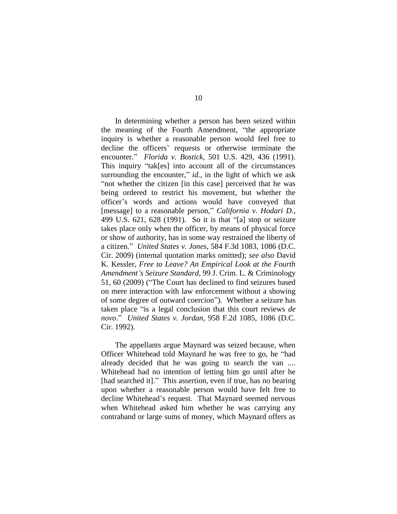In determining whether a person has been seized within the meaning of the Fourth Amendment, "the appropriate inquiry is whether a reasonable person would feel free to decline the officers' requests or otherwise terminate the encounter.‖ *Florida v. Bostick*, 501 U.S. 429, 436 (1991). This inquiry "tak[es] into account all of the circumstances surrounding the encounter,"  $id$ , in the light of which we ask "not whether the citizen [in this case] perceived that he was being ordered to restrict his movement, but whether the officer's words and actions would have conveyed that [message] to a reasonable person," *California v. Hodari D.*, 499 U.S. 621, 628 (1991). So it is that "[a] stop or seizure takes place only when the officer, by means of physical force or show of authority, has in some way restrained the liberty of a citizen.‖ *United States v. Jones*, 584 F.3d 1083, 1086 (D.C. Cir. 2009) (internal quotation marks omitted); *see also* David K. Kessler, *Free to Leave? An Empirical Look at the Fourth Amendment's Seizure Standard*, 99 J. Crim. L. & Criminology 51, 60 (2009) ("The Court has declined to find seizures based on mere interaction with law enforcement without a showing of some degree of outward coercion"). Whether a seizure has taken place "is a legal conclusion that this court reviews *de novo*.‖ *United States v. Jordan*, 958 F.2d 1085, 1086 (D.C. Cir. 1992).

The appellants argue Maynard was seized because, when Officer Whitehead told Maynard he was free to go, he "had already decided that he was going to search the van .... Whitehead had no intention of letting him go until after he [had searched it]." This assertion, even if true, has no bearing upon whether a reasonable person would have felt free to decline Whitehead's request. That Maynard seemed nervous when Whitehead asked him whether he was carrying any contraband or large sums of money, which Maynard offers as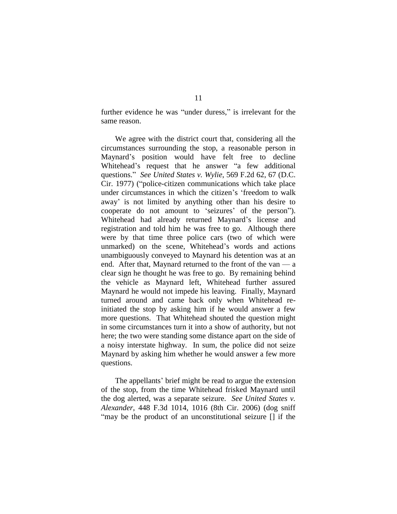further evidence he was "under duress," is irrelevant for the same reason.

We agree with the district court that, considering all the circumstances surrounding the stop, a reasonable person in Maynard's position would have felt free to decline Whitehead's request that he answer "a few additional questions.‖ *See United States v. Wylie*, 569 F.2d 62, 67 (D.C. Cir. 1977) ("police-citizen communications which take place under circumstances in which the citizen's ‗freedom to walk away' is not limited by anything other than his desire to cooperate do not amount to 'seizures' of the person"). Whitehead had already returned Maynard's license and registration and told him he was free to go. Although there were by that time three police cars (two of which were unmarked) on the scene, Whitehead's words and actions unambiguously conveyed to Maynard his detention was at an end. After that, Maynard returned to the front of the van — a clear sign he thought he was free to go. By remaining behind the vehicle as Maynard left, Whitehead further assured Maynard he would not impede his leaving. Finally, Maynard turned around and came back only when Whitehead reinitiated the stop by asking him if he would answer a few more questions. That Whitehead shouted the question might in some circumstances turn it into a show of authority, but not here; the two were standing some distance apart on the side of a noisy interstate highway. In sum, the police did not seize Maynard by asking him whether he would answer a few more questions.

The appellants' brief might be read to argue the extension of the stop, from the time Whitehead frisked Maynard until the dog alerted, was a separate seizure. *See United States v. Alexander*, 448 F.3d 1014, 1016 (8th Cir. 2006) (dog sniff "may be the product of an unconstitutional seizure [] if the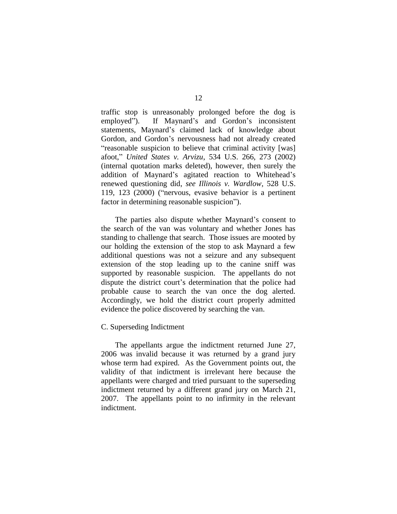traffic stop is unreasonably prolonged before the dog is employed"). If Maynard's and Gordon's inconsistent statements, Maynard's claimed lack of knowledge about Gordon, and Gordon's nervousness had not already created "reasonable suspicion to believe that criminal activity [was] afoot,‖ *United States v. Arvizu*, 534 U.S. 266, 273 (2002) (internal quotation marks deleted), however, then surely the addition of Maynard's agitated reaction to Whitehead's renewed questioning did, *see Illinois v. Wardlow*, 528 U.S. 119, 123  $(2000)$  ("nervous, evasive behavior is a pertinent factor in determining reasonable suspicion".

The parties also dispute whether Maynard's consent to the search of the van was voluntary and whether Jones has standing to challenge that search. Those issues are mooted by our holding the extension of the stop to ask Maynard a few additional questions was not a seizure and any subsequent extension of the stop leading up to the canine sniff was supported by reasonable suspicion. The appellants do not dispute the district court's determination that the police had probable cause to search the van once the dog alerted. Accordingly, we hold the district court properly admitted evidence the police discovered by searching the van.

#### <span id="page-11-0"></span>C. Superseding Indictment

The appellants argue the indictment returned June 27, 2006 was invalid because it was returned by a grand jury whose term had expired. As the Government points out, the validity of that indictment is irrelevant here because the appellants were charged and tried pursuant to the superseding indictment returned by a different grand jury on March 21, 2007. The appellants point to no infirmity in the relevant indictment.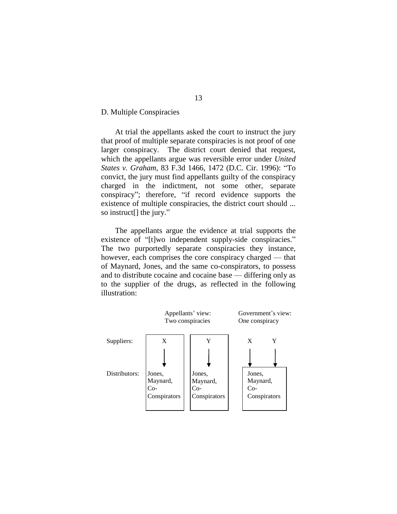<span id="page-12-0"></span>D. Multiple Conspiracies

At trial the appellants asked the court to instruct the jury that proof of multiple separate conspiracies is not proof of one larger conspiracy. The district court denied that request, which the appellants argue was reversible error under *United States v. Graham, 83 F.3d 1466, 1472 (D.C. Cir. 1996):* "To convict, the jury must find appellants guilty of the conspiracy charged in the indictment, not some other, separate conspiracy"; therefore, "if record evidence supports the existence of multiple conspiracies, the district court should ... so instruct[] the jury."

The appellants argue the evidence at trial supports the existence of "[t]wo independent supply-side conspiracies." The two purportedly separate conspiracies they instance, however, each comprises the core conspiracy charged — that of Maynard, Jones, and the same co-conspirators, to possess and to distribute cocaine and cocaine base — differing only as to the supplier of the drugs, as reflected in the following illustration:

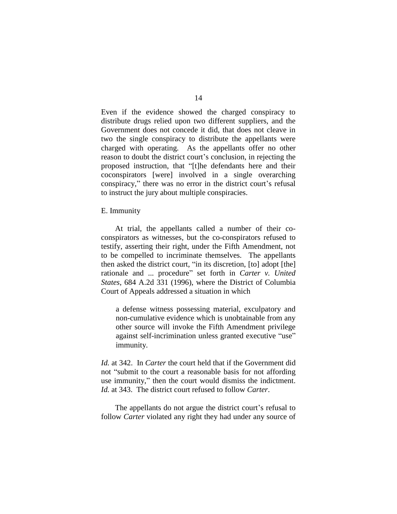Even if the evidence showed the charged conspiracy to distribute drugs relied upon two different suppliers, and the Government does not concede it did, that does not cleave in two the single conspiracy to distribute the appellants were charged with operating.As the appellants offer no other reason to doubt the district court's conclusion, in rejecting the proposed instruction, that "[t]he defendants here and their coconspirators [were] involved in a single overarching conspiracy," there was no error in the district court's refusal to instruct the jury about multiple conspiracies.

<span id="page-13-0"></span>E. Immunity

At trial, the appellants called a number of their coconspirators as witnesses, but the co-conspirators refused to testify, asserting their right, under the Fifth Amendment, not to be compelled to incriminate themselves. The appellants then asked the district court, "in its discretion, [to] adopt [the] rationale and ... procedure" set forth in *Carter v. United States*, 684 A.2d 331 (1996), where the District of Columbia Court of Appeals addressed a situation in which

a defense witness possessing material, exculpatory and non-cumulative evidence which is unobtainable from any other source will invoke the Fifth Amendment privilege against self-incrimination unless granted executive "use" immunity.

*Id.* at 342. In *Carter* the court held that if the Government did not "submit to the court a reasonable basis for not affording use immunity," then the court would dismiss the indictment. *Id.* at 343. The district court refused to follow *Carter*.

The appellants do not argue the district court's refusal to follow *Carter* violated any right they had under any source of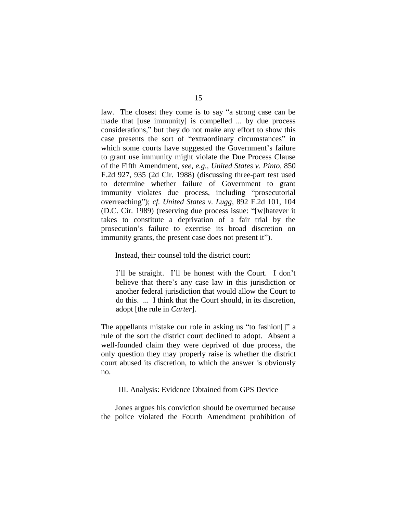law. The closest they come is to say "a strong case can be made that [use immunity] is compelled ... by due process considerations," but they do not make any effort to show this case presents the sort of "extraordinary circumstances" in which some courts have suggested the Government's failure to grant use immunity might violate the Due Process Clause of the Fifth Amendment, *see, e.g.*, *United States v. Pinto*, 850 F.2d 927, 935 (2d Cir. 1988) (discussing three-part test used to determine whether failure of Government to grant immunity violates due process, including "prosecutorial overreaching‖); *cf. United States v. Lugg*, 892 F.2d 101, 104 (D.C. Cir. 1989) (reserving due process issue: "[w]hatever it takes to constitute a deprivation of a fair trial by the prosecution's failure to exercise its broad discretion on immunity grants, the present case does not present it").

Instead, their counsel told the district court:

I'll be straight. I'll be honest with the Court. I don't believe that there's any case law in this jurisdiction or another federal jurisdiction that would allow the Court to do this. ... I think that the Court should, in its discretion, adopt [the rule in *Carter*].

The appellants mistake our role in asking us "to fashion..." rule of the sort the district court declined to adopt. Absent a well-founded claim they were deprived of due process, the only question they may properly raise is whether the district court abused its discretion, to which the answer is obviously no.

#### <span id="page-14-0"></span>III. Analysis: Evidence Obtained from GPS Device

Jones argues his conviction should be overturned because the police violated the Fourth Amendment prohibition of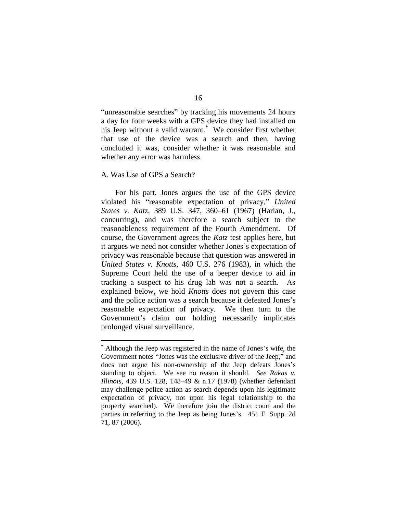"unreasonable searches" by tracking his movements 24 hours a day for four weeks with a GPS device they had installed on his Jeep without a valid warrant.<sup>\*</sup> We consider first whether that use of the device was a search and then, having concluded it was, consider whether it was reasonable and whether any error was harmless.

# <span id="page-15-0"></span>A. Was Use of GPS a Search?

 $\overline{a}$ 

For his part, Jones argues the use of the GPS device violated his "reasonable expectation of privacy," United *States v. Katz*, 389 U.S. 347, 360–61 (1967) (Harlan, J., concurring), and was therefore a search subject to the reasonableness requirement of the Fourth Amendment. Of course, the Government agrees the *Katz* test applies here, but it argues we need not consider whether Jones's expectation of privacy was reasonable because that question was answered in *United States v. Knotts*, 460 U.S. 276 (1983), in which the Supreme Court held the use of a beeper device to aid in tracking a suspect to his drug lab was not a search. As explained below, we hold *Knotts* does not govern this case and the police action was a search because it defeated Jones's reasonable expectation of privacy. We then turn to the Government's claim our holding necessarily implicates prolonged visual surveillance.

Although the Jeep was registered in the name of Jones's wife, the Government notes "Jones was the exclusive driver of the Jeep," and does not argue his non-ownership of the Jeep defeats Jones's standing to object. We see no reason it should. *See Rakas v. Illinois*, 439 U.S. 128, 148–49 & n.17 (1978) (whether defendant may challenge police action as search depends upon his legitimate expectation of privacy, not upon his legal relationship to the property searched). We therefore join the district court and the parties in referring to the Jeep as being Jones's. 451 F. Supp. 2d 71, 87 (2006).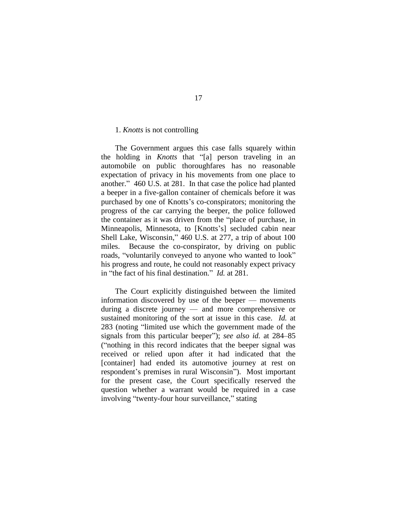#### <span id="page-16-0"></span>1. *Knotts* is not controlling

The Government argues this case falls squarely within the holding in *Knotts* that "[a] person traveling in an automobile on public thoroughfares has no reasonable expectation of privacy in his movements from one place to another." 460 U.S. at 281. In that case the police had planted a beeper in a five-gallon container of chemicals before it was purchased by one of Knotts's co-conspirators; monitoring the progress of the car carrying the beeper, the police followed the container as it was driven from the "place of purchase, in Minneapolis, Minnesota, to [Knotts's] secluded cabin near Shell Lake, Wisconsin," 460 U.S. at 277, a trip of about 100 miles. Because the co-conspirator, by driving on public roads, "voluntarily conveyed to anyone who wanted to look" his progress and route, he could not reasonably expect privacy in "the fact of his final destination." *Id.* at 281.

The Court explicitly distinguished between the limited information discovered by use of the beeper — movements during a discrete journey — and more comprehensive or sustained monitoring of the sort at issue in this case. *Id.* at 283 (noting "limited use which the government made of the signals from this particular beeper"); *see also id.* at 284–85 (―nothing in this record indicates that the beeper signal was received or relied upon after it had indicated that the [container] had ended its automotive journey at rest on respondent's premises in rural Wisconsin"). Most important for the present case, the Court specifically reserved the question whether a warrant would be required in a case involving "twenty-four hour surveillance," stating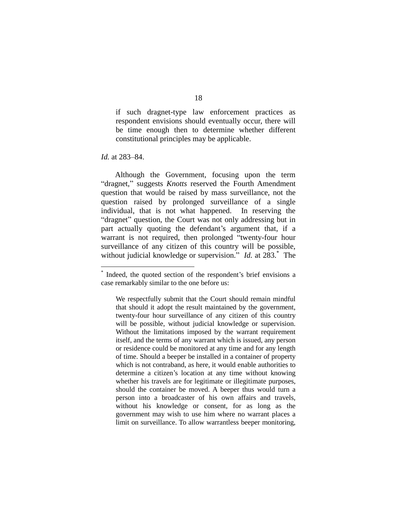if such dragnet-type law enforcement practices as respondent envisions should eventually occur, there will be time enough then to determine whether different constitutional principles may be applicable.

*Id.* at 283–84.

 $\overline{a}$ 

Although the Government, focusing upon the term "dragnet," suggests *Knotts* reserved the Fourth Amendment question that would be raised by mass surveillance, not the question raised by prolonged surveillance of a single individual, that is not what happened. In reserving the "dragnet" question, the Court was not only addressing but in part actually quoting the defendant's argument that, if a warrant is not required, then prolonged "twenty-four hour surveillance of any citizen of this country will be possible, without judicial knowledge or supervision." *Id.* at 283.<sup>\*</sup> The

<sup>\*</sup> Indeed, the quoted section of the respondent's brief envisions a case remarkably similar to the one before us:

We respectfully submit that the Court should remain mindful that should it adopt the result maintained by the government, twenty-four hour surveillance of any citizen of this country will be possible, without judicial knowledge or supervision. Without the limitations imposed by the warrant requirement itself, and the terms of any warrant which is issued, any person or residence could be monitored at any time and for any length of time. Should a beeper be installed in a container of property which is not contraband, as here, it would enable authorities to determine a citizen's location at any time without knowing whether his travels are for legitimate or illegitimate purposes, should the container be moved. A beeper thus would turn a person into a broadcaster of his own affairs and travels, without his knowledge or consent, for as long as the government may wish to use him where no warrant places a limit on surveillance. To allow warrantless beeper monitoring,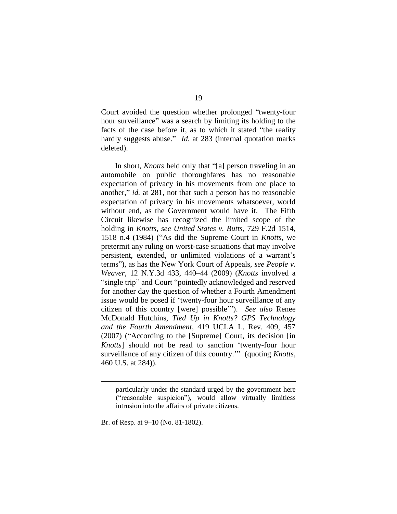Court avoided the question whether prolonged "twenty-four hour surveillance" was a search by limiting its holding to the facts of the case before it, as to which it stated "the reality" hardly suggests abuse." *Id.* at 283 (internal quotation marks deleted).

In short, *Knotts* held only that "[a] person traveling in an automobile on public thoroughfares has no reasonable expectation of privacy in his movements from one place to another," *id.* at 281, not that such a person has no reasonable expectation of privacy in his movements whatsoever, world without end, as the Government would have it. The Fifth Circuit likewise has recognized the limited scope of the holding in *Knotts*, *see United States v. Butts*, 729 F.2d 1514, 1518 n.4 (1984) ("As did the Supreme Court in *Knotts*, we pretermit any ruling on worst-case situations that may involve persistent, extended, or unlimited violations of a warrant's terms"), as has the New York Court of Appeals, *see People v. Weaver*, 12 N.Y.3d 433, 440–44 (2009) (*Knotts* involved a "single trip" and Court "pointedly acknowledged and reserved for another day the question of whether a Fourth Amendment issue would be posed if 'twenty-four hour surveillance of any citizen of this country [were] possible""). See also Renee McDonald Hutchins, *Tied Up in Knotts? GPS Technology and the Fourth Amendment*, 419 UCLA L. Rev. 409, 457  $(2007)$  ("According to the [Supreme] Court, its decision [in] *Knotts* should not be read to sanction 'twenty-four hour surveillance of any citizen of this country." (quoting *Knotts*, 460 U.S. at 284)).

Br. of Resp. at 9–10 (No. 81-1802).

 $\overline{a}$ 

particularly under the standard urged by the government here ("reasonable suspicion"), would allow virtually limitless intrusion into the affairs of private citizens.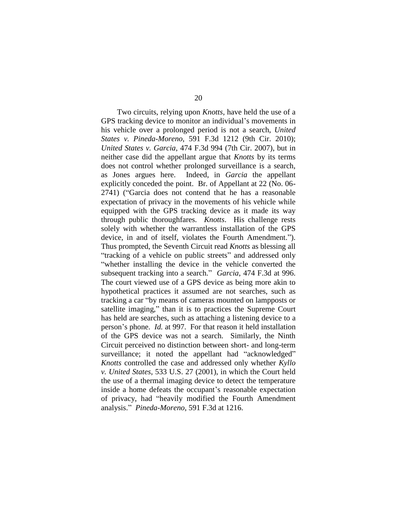Two circuits, relying upon *Knotts*, have held the use of a GPS tracking device to monitor an individual's movements in his vehicle over a prolonged period is not a search, *United States v. Pineda-Moreno*, 591 F.3d 1212 (9th Cir. 2010); *United States v. Garcia*, 474 F.3d 994 (7th Cir. 2007), but in neither case did the appellant argue that *Knotts* by its terms does not control whether prolonged surveillance is a search, as Jones argues here. Indeed, in *Garcia* the appellant explicitly conceded the point. Br. of Appellant at 22 (No. 06- 2741) ("Garcia does not contend that he has a reasonable expectation of privacy in the movements of his vehicle while equipped with the GPS tracking device as it made its way through public thoroughfares. *Knotts*. His challenge rests solely with whether the warrantless installation of the GPS device, in and of itself, violates the Fourth Amendment."). Thus prompted, the Seventh Circuit read *Knotts* as blessing all "tracking of a vehicle on public streets" and addressed only ―whether installing the device in the vehicle converted the subsequent tracking into a search." *Garcia*, 474 F.3d at 996. The court viewed use of a GPS device as being more akin to hypothetical practices it assumed are not searches, such as tracking a car "by means of cameras mounted on lampposts or satellite imaging," than it is to practices the Supreme Court has held are searches, such as attaching a listening device to a person's phone. *Id.* at 997. For that reason it held installation of the GPS device was not a search. Similarly, the Ninth Circuit perceived no distinction between short- and long-term surveillance; it noted the appellant had "acknowledged" *Knotts* controlled the case and addressed only whether *Kyllo v. United States*, 533 U.S. 27 (2001), in which the Court held the use of a thermal imaging device to detect the temperature inside a home defeats the occupant's reasonable expectation of privacy, had "heavily modified the Fourth Amendment analysis.‖ *Pineda-Moreno*, 591 F.3d at 1216.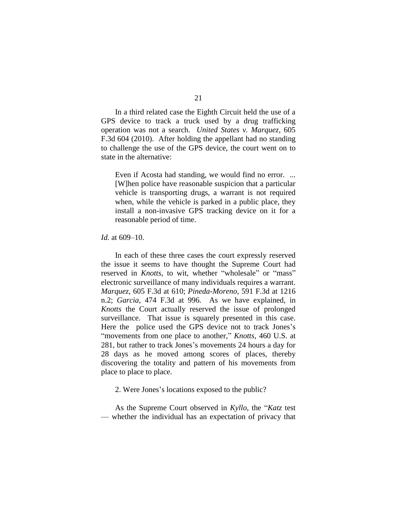In a third related case the Eighth Circuit held the use of a GPS device to track a truck used by a drug trafficking operation was not a search. *United States v. Marquez*, 605 F.3d 604 (2010). After holding the appellant had no standing to challenge the use of the GPS device, the court went on to state in the alternative:

Even if Acosta had standing, we would find no error. ... [W]hen police have reasonable suspicion that a particular vehicle is transporting drugs, a warrant is not required when, while the vehicle is parked in a public place, they install a non-invasive GPS tracking device on it for a reasonable period of time.

#### *Id.* at 609–10.

In each of these three cases the court expressly reserved the issue it seems to have thought the Supreme Court had reserved in *Knotts*, to wit, whether "wholesale" or "mass" electronic surveillance of many individuals requires a warrant. *Marquez*, 605 F.3d at 610; *Pineda-Moreno*, 591 F.3d at 1216 n.2; *Garcia*, 474 F.3d at 996. As we have explained, in *Knotts* the Court actually reserved the issue of prolonged surveillance. That issue is squarely presented in this case. Here the police used the GPS device not to track Jones's "movements from one place to another," *Knotts*, 460 U.S. at 281, but rather to track Jones's movements 24 hours a day for 28 days as he moved among scores of places, thereby discovering the totality and pattern of his movements from place to place to place.

<span id="page-20-0"></span>2. Were Jones's locations exposed to the public?

As the Supreme Court observed in *Kyllo*, the "*Katz* test — whether the individual has an expectation of privacy that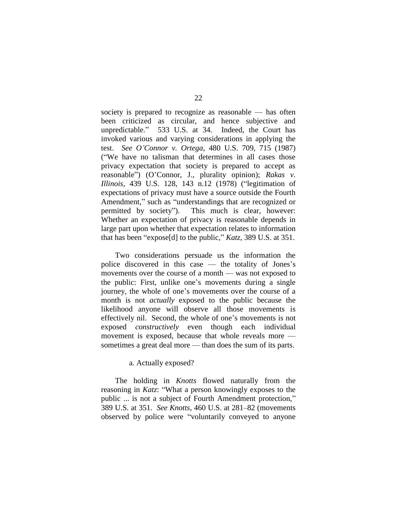society is prepared to recognize as reasonable — has often been criticized as circular, and hence subjective and unpredictable." 533 U.S. at 34. Indeed, the Court has invoked various and varying considerations in applying the test. *See O'Connor v. Ortega*, 480 U.S. 709, 715 (1987) (―We have no talisman that determines in all cases those privacy expectation that society is prepared to accept as reasonable") (O'Connor, J., plurality opinion); *Rakas v. Illinois*, 439 U.S. 128, 143 n.12 (1978) ("legitimation of expectations of privacy must have a source outside the Fourth Amendment," such as "understandings that are recognized or permitted by society"). This much is clear, however: Whether an expectation of privacy is reasonable depends in large part upon whether that expectation relates to information that has been "expose[d] to the public,"  $Katz$ , 389 U.S. at 351.

Two considerations persuade us the information the police discovered in this case — the totality of Jones's movements over the course of a month — was not exposed to the public: First, unlike one's movements during a single journey, the whole of one's movements over the course of a month is not *actually* exposed to the public because the likelihood anyone will observe all those movements is effectively nil. Second, the whole of one's movements is not exposed *constructively* even though each individual movement is exposed, because that whole reveals more sometimes a great deal more — than does the sum of its parts.

#### a. Actually exposed?

<span id="page-21-0"></span>The holding in *Knotts* flowed naturally from the reasoning in *Katz*: "What a person knowingly exposes to the public ... is not a subject of Fourth Amendment protection," 389 U.S. at 351. *See Knotts*, 460 U.S. at 281–82 (movements observed by police were "voluntarily conveyed to anyone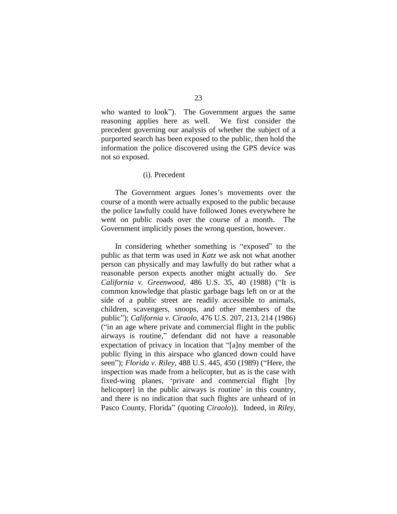who wanted to look"). The Government argues the same reasoning applies here as well. We first consider the precedent governing our analysis of whether the subject of a purported search has been exposed to the public, then hold the information the police discovered using the GPS device was not so exposed.

#### (i). Precedent

<span id="page-22-0"></span>The Government argues Jones's movements over the course of a month were actually exposed to the public because the police lawfully could have followed Jones everywhere he went on public roads over the course of a month. The Government implicitly poses the wrong question, however.

In considering whether something is "exposed" to the public as that term was used in *Katz* we ask not what another person can physically and may lawfully do but rather what a reasonable person expects another might actually do. *See California v. Greenwood, 486 U.S. 35, 40 (1988) ("It is* common knowledge that plastic garbage bags left on or at the side of a public street are readily accessible to animals, children, scavengers, snoops, and other members of the public‖); *California v. Ciraolo*, 476 U.S. 207, 213, 214 (1986) ("in an age where private and commercial flight in the public airways is routine," defendant did not have a reasonable expectation of privacy in location that "[a]ny member of the public flying in this airspace who glanced down could have seen"); *Florida v. Riley*, 488 U.S. 445, 450 (1989) ("Here, the inspection was made from a helicopter, but as is the case with fixed-wing planes, 'private and commercial flight [by helicopter] in the public airways is routine' in this country, and there is no indication that such flights are unheard of in Pasco County, Florida" (quoting *Ciraolo*)). Indeed, in *Riley*,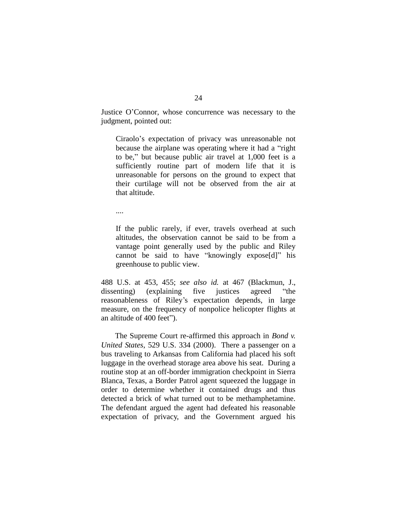Justice O'Connor, whose concurrence was necessary to the judgment, pointed out:

Ciraolo's expectation of privacy was unreasonable not because the airplane was operating where it had a "right" to be," but because public air travel at 1,000 feet is a sufficiently routine part of modern life that it is unreasonable for persons on the ground to expect that their curtilage will not be observed from the air at that altitude.

....

If the public rarely, if ever, travels overhead at such altitudes, the observation cannot be said to be from a vantage point generally used by the public and Riley cannot be said to have "knowingly expose[d]" his greenhouse to public view.

488 U.S. at 453, 455; *see also id.* at 467 (Blackmun, J., dissenting) (explaining five justices agreed "the reasonableness of Riley's expectation depends, in large measure, on the frequency of nonpolice helicopter flights at an altitude of 400 feet").

The Supreme Court re-affirmed this approach in *Bond v. United States*, 529 U.S. 334 (2000). There a passenger on a bus traveling to Arkansas from California had placed his soft luggage in the overhead storage area above his seat. During a routine stop at an off-border immigration checkpoint in Sierra Blanca, Texas, a Border Patrol agent squeezed the luggage in order to determine whether it contained drugs and thus detected a brick of what turned out to be methamphetamine. The defendant argued the agent had defeated his reasonable expectation of privacy, and the Government argued his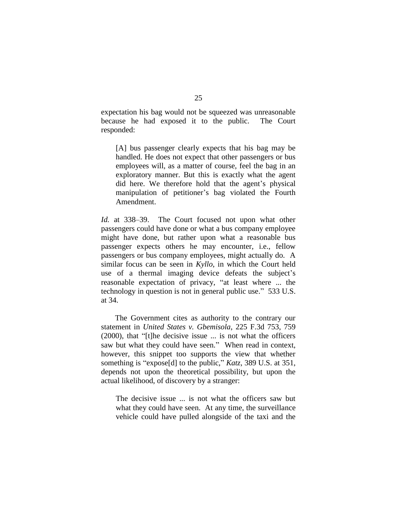expectation his bag would not be squeezed was unreasonable because he had exposed it to the public. The Court responded:

[A] bus passenger clearly expects that his bag may be handled. He does not expect that other passengers or bus employees will, as a matter of course, feel the bag in an exploratory manner. But this is exactly what the agent did here. We therefore hold that the agent's physical manipulation of petitioner's bag violated the Fourth Amendment.

*Id.* at 338–39. The Court focused not upon what other passengers could have done or what a bus company employee might have done, but rather upon what a reasonable bus passenger expects others he may encounter, i.e., fellow passengers or bus company employees, might actually do.A similar focus can be seen in *Kyllo*, in which the Court held use of a thermal imaging device defeats the subject's reasonable expectation of privacy, "at least where ... the technology in question is not in general public use." 533 U.S. at 34.

The Government cites as authority to the contrary our statement in *United States v. Gbemisola*, 225 F.3d 753, 759  $(2000)$ , that "[t]he decisive issue ... is not what the officers saw but what they could have seen." When read in context, however, this snippet too supports the view that whether something is "expose[d] to the public," *Katz*, 389 U.S. at 351, depends not upon the theoretical possibility, but upon the actual likelihood, of discovery by a stranger:

The decisive issue ... is not what the officers saw but what they could have seen. At any time, the surveillance vehicle could have pulled alongside of the taxi and the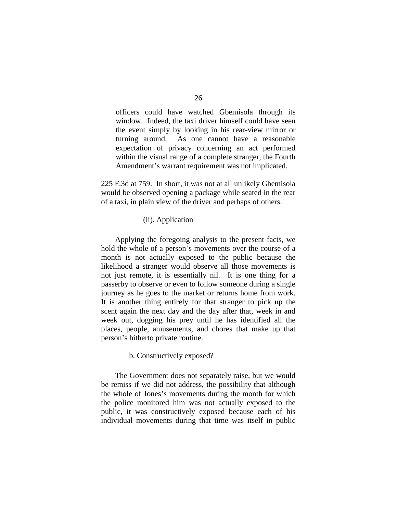officers could have watched Gbemisola through its window. Indeed, the taxi driver himself could have seen the event simply by looking in his rear-view mirror or turning around. As one cannot have a reasonable expectation of privacy concerning an act performed within the visual range of a complete stranger, the Fourth Amendment's warrant requirement was not implicated.

225 F.3d at 759. In short, it was not at all unlikely Gbemisola would be observed opening a package while seated in the rear of a taxi, in plain view of the driver and perhaps of others.

## (ii). Application

<span id="page-25-0"></span>Applying the foregoing analysis to the present facts, we hold the whole of a person's movements over the course of a month is not actually exposed to the public because the likelihood a stranger would observe all those movements is not just remote, it is essentially nil. It is one thing for a passerby to observe or even to follow someone during a single journey as he goes to the market or returns home from work. It is another thing entirely for that stranger to pick up the scent again the next day and the day after that, week in and week out, dogging his prey until he has identified all the places, people, amusements, and chores that make up that person's hitherto private routine.

#### b. Constructively exposed?

<span id="page-25-1"></span>The Government does not separately raise, but we would be remiss if we did not address, the possibility that although the whole of Jones's movements during the month for which the police monitored him was not actually exposed to the public, it was constructively exposed because each of his individual movements during that time was itself in public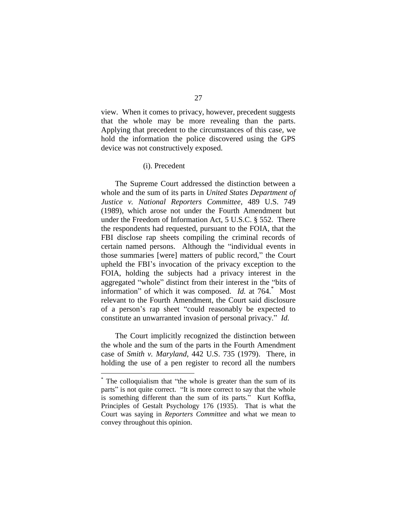view. When it comes to privacy, however, precedent suggests that the whole may be more revealing than the parts. Applying that precedent to the circumstances of this case, we hold the information the police discovered using the GPS device was not constructively exposed.

#### (i). Precedent

<span id="page-26-0"></span>The Supreme Court addressed the distinction between a whole and the sum of its parts in *United States Department of Justice v. National Reporters Committee*, 489 U.S. 749 (1989), which arose not under the Fourth Amendment but under the Freedom of Information Act, 5 U.S.C. § 552. There the respondents had requested, pursuant to the FOIA, that the FBI disclose rap sheets compiling the criminal records of certain named persons. Although the "individual events in those summaries [were] matters of public record," the Court upheld the FBI's invocation of the privacy exception to the FOIA, holding the subjects had a privacy interest in the aggregated "whole" distinct from their interest in the "bits of information" of which it was composed. *Id.* at 764.<sup>\*</sup> Most relevant to the Fourth Amendment, the Court said disclosure of a person's rap sheet "could reasonably be expected to constitute an unwarranted invasion of personal privacy." *Id.* 

The Court implicitly recognized the distinction between the whole and the sum of the parts in the Fourth Amendment case of *Smith v. Maryland*, 442 U.S. 735 (1979). There, in holding the use of a pen register to record all the numbers

 $\overline{a}$ 

 $*$  The colloquialism that "the whole is greater than the sum of its parts" is not quite correct. "It is more correct to say that the whole is something different than the sum of its parts." Kurt Koffka, Principles of Gestalt Psychology 176 (1935). That is what the Court was saying in *Reporters Committee* and what we mean to convey throughout this opinion.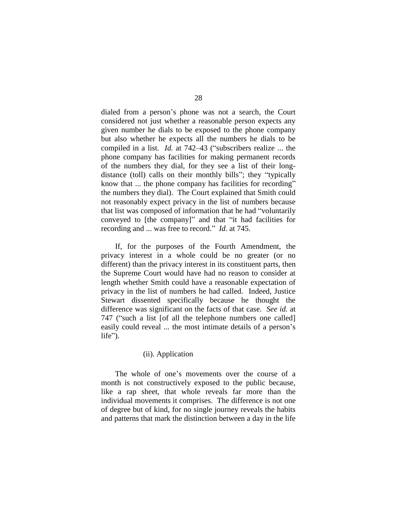dialed from a person's phone was not a search, the Court considered not just whether a reasonable person expects any given number he dials to be exposed to the phone company but also whether he expects all the numbers he dials to be compiled in a list. *Id.* at 742–43 ("subscribers realize ... the phone company has facilities for making permanent records of the numbers they dial, for they see a list of their longdistance (toll) calls on their monthly bills"; they "typically know that ... the phone company has facilities for recording" the numbers they dial). The Court explained that Smith could not reasonably expect privacy in the list of numbers because that list was composed of information that he had "voluntarily" conveyed to [the company]" and that "it had facilities for recording and ... was free to record." *Id.* at 745.

If, for the purposes of the Fourth Amendment, the privacy interest in a whole could be no greater (or no different) than the privacy interest in its constituent parts, then the Supreme Court would have had no reason to consider at length whether Smith could have a reasonable expectation of privacy in the list of numbers he had called. Indeed, Justice Stewart dissented specifically because he thought the difference was significant on the facts of that case. *See id.* at 747 ("such a list [of all the telephone numbers one called] easily could reveal ... the most intimate details of a person's  $life$ ").

# (ii). Application

<span id="page-27-0"></span>The whole of one's movements over the course of a month is not constructively exposed to the public because, like a rap sheet, that whole reveals far more than the individual movements it comprises. The difference is not one of degree but of kind, for no single journey reveals the habits and patterns that mark the distinction between a day in the life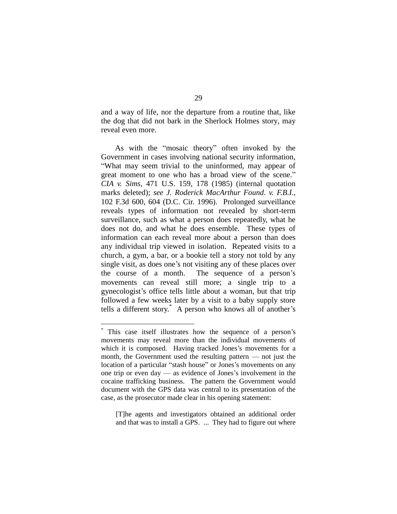and a way of life, nor the departure from a routine that, like the dog that did not bark in the Sherlock Holmes story, may reveal even more.

As with the "mosaic theory" often invoked by the Government in cases involving national security information, ―What may seem trivial to the uninformed, may appear of great moment to one who has a broad view of the scene." *CIA v. Sims*, 471 U.S. 159, 178 (1985) (internal quotation marks deleted); *see J. Roderick MacArthur Found. v. F.B.I.*, 102 F.3d 600, 604 (D.C. Cir. 1996). Prolonged surveillance reveals types of information not revealed by short-term surveillance, such as what a person does repeatedly, what he does not do, and what he does ensemble. These types of information can each reveal more about a person than does any individual trip viewed in isolation. Repeated visits to a church, a gym, a bar, or a bookie tell a story not told by any single visit, as does one's not visiting any of these places over the course of a month. The sequence of a person's movements can reveal still more; a single trip to a gynecologist's office tells little about a woman, but that trip followed a few weeks later by a visit to a baby supply store tells a different story.\* A person who knows all of another's

 $\overline{a}$ 

[T]he agents and investigators obtained an additional order and that was to install a GPS. ... They had to figure out where

<sup>\*</sup> This case itself illustrates how the sequence of a person's movements may reveal more than the individual movements of which it is composed. Having tracked Jones's movements for a month, the Government used the resulting pattern — not just the location of a particular "stash house" or Jones's movements on any one trip or even day — as evidence of Jones's involvement in the cocaine trafficking business. The pattern the Government would document with the GPS data was central to its presentation of the case, as the prosecutor made clear in his opening statement: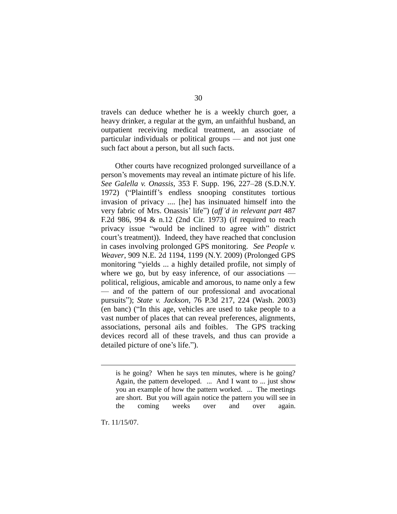travels can deduce whether he is a weekly church goer, a heavy drinker, a regular at the gym, an unfaithful husband, an outpatient receiving medical treatment, an associate of particular individuals or political groups — and not just one such fact about a person, but all such facts.

Other courts have recognized prolonged surveillance of a person's movements may reveal an intimate picture of his life. *See Galella v. Onassis*, 353 F. Supp. 196, 227–28 (S.D.N.Y. 1972) ("Plaintiff's endless snooping constitutes tortious invasion of privacy .... [he] has insinuated himself into the very fabric of Mrs. Onassis' life") (*aff'd in relevant part* 487 F.2d 986, 994 & n.12 (2nd Cir. 1973) (if required to reach privacy issue "would be inclined to agree with" district court's treatment)). Indeed, they have reached that conclusion in cases involving prolonged GPS monitoring. *See People v. Weaver*, 909 N.E. 2d 1194, 1199 (N.Y. 2009) (Prolonged GPS monitoring "yields ... a highly detailed profile, not simply of where we go, but by easy inference, of our associations political, religious, amicable and amorous, to name only a few — and of the pattern of our professional and avocational pursuits‖); *State v. Jackson*, 76 P.3d 217, 224 (Wash. 2003) (en banc) ("In this age, vehicles are used to take people to a vast number of places that can reveal preferences, alignments, associations, personal ails and foibles. The GPS tracking devices record all of these travels, and thus can provide a detailed picture of one's life.").

Tr. 11/15/07.

 $\overline{a}$ 

is he going? When he says ten minutes, where is he going? Again, the pattern developed. ... And I want to ... just show you an example of how the pattern worked. ... The meetings are short. But you will again notice the pattern you will see in the coming weeks over and over again.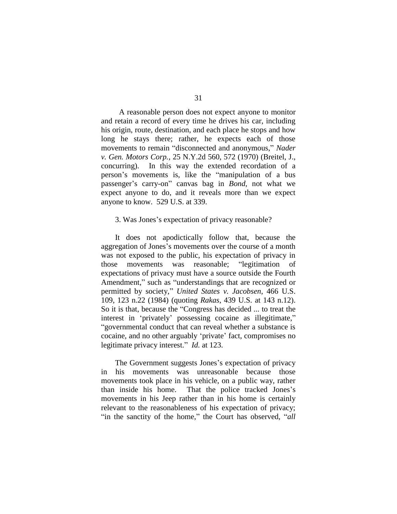A reasonable person does not expect anyone to monitor and retain a record of every time he drives his car, including his origin, route, destination, and each place he stops and how long he stays there; rather, he expects each of those movements to remain "disconnected and anonymous," Nader *v. Gen. Motors Corp.*, 25 N.Y.2d 560, 572 (1970) (Breitel, J., concurring). In this way the extended recordation of a person's movements is, like the "manipulation of a bus passenger's carry-on" canvas bag in *Bond*, not what we expect anyone to do, and it reveals more than we expect anyone to know. 529 U.S. at 339.

#### <span id="page-30-0"></span>3. Was Jones's expectation of privacy reasonable?

It does not apodictically follow that, because the aggregation of Jones's movements over the course of a month was not exposed to the public, his expectation of privacy in those movements was reasonable; "legitimation of expectations of privacy must have a source outside the Fourth Amendment," such as "understandings that are recognized or permitted by society," *United States v. Jacobsen*, 466 U.S. 109, 123 n.22 (1984) (quoting *Rakas*, 439 U.S. at 143 n.12). So it is that, because the "Congress has decided ... to treat the interest in 'privately' possessing cocaine as illegitimate," ―governmental conduct that can reveal whether a substance is cocaine, and no other arguably 'private' fact, compromises no legitimate privacy interest." *Id.* at 123.

The Government suggests Jones's expectation of privacy in his movements was unreasonable because those movements took place in his vehicle, on a public way, rather than inside his home. That the police tracked Jones's movements in his Jeep rather than in his home is certainly relevant to the reasonableness of his expectation of privacy; "in the sanctity of the home," the Court has observed, "*all*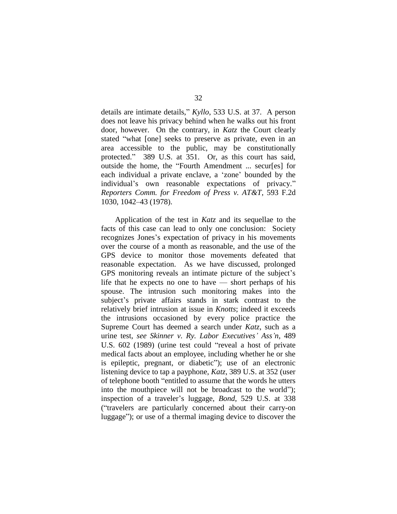details are intimate details," *Kyllo*, 533 U.S. at 37. A person does not leave his privacy behind when he walks out his front door, however. On the contrary, in *Katz* the Court clearly stated "what [one] seeks to preserve as private, even in an area accessible to the public, may be constitutionally protected." 389 U.S. at 351. Or, as this court has said, outside the home, the "Fourth Amendment ... secures for each individual a private enclave, a 'zone' bounded by the individual's own reasonable expectations of privacy." *Reporters Comm. for Freedom of Press v. AT&T*, 593 F.2d 1030, 1042–43 (1978).

Application of the test in *Katz* and its sequellae to the facts of this case can lead to only one conclusion: Society recognizes Jones's expectation of privacy in his movements over the course of a month as reasonable, and the use of the GPS device to monitor those movements defeated that reasonable expectation.As we have discussed, prolonged GPS monitoring reveals an intimate picture of the subject's life that he expects no one to have — short perhaps of his spouse. The intrusion such monitoring makes into the subject's private affairs stands in stark contrast to the relatively brief intrusion at issue in *Knotts*; indeed it exceeds the intrusions occasioned by every police practice the Supreme Court has deemed a search under *Katz*, such as a urine test, *see Skinner v. Ry. Labor Executives' Ass'n*, 489 U.S. 602 (1989) (urine test could "reveal a host of private medical facts about an employee, including whether he or she is epileptic, pregnant, or diabetic"); use of an electronic listening device to tap a payphone, *Katz*, 389 U.S. at 352 (user of telephone booth "entitled to assume that the words he utters into the mouthpiece will not be broadcast to the world"); inspection of a traveler's luggage, *Bond*, 529 U.S. at 338 (―travelers are particularly concerned about their carry-on luggage"); or use of a thermal imaging device to discover the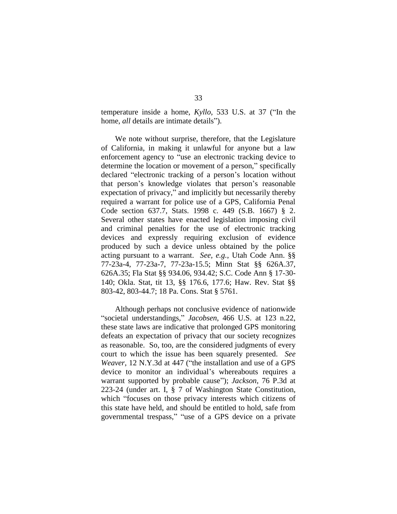temperature inside a home, *Kyllo*, 533 U.S. at 37 ("In the home, *all* details are intimate details").

We note without surprise, therefore, that the Legislature of California, in making it unlawful for anyone but a law enforcement agency to "use an electronic tracking device to determine the location or movement of a person," specifically declared "electronic tracking of a person's location without that person's knowledge violates that person's reasonable expectation of privacy," and implicitly but necessarily thereby required a warrant for police use of a GPS, California Penal Code section 637.7, Stats. 1998 c. 449 (S.B. 1667) § 2. Several other states have enacted legislation imposing civil and criminal penalties for the use of electronic tracking devices and expressly requiring exclusion of evidence produced by such a device unless obtained by the police acting pursuant to a warrant. *See, e.g.*, Utah Code Ann. §§ 77-23a-4, 77-23a-7, 77-23a-15.5; Minn Stat §§ 626A.37, 626A.35; Fla Stat §§ 934.06, 934.42; S.C. Code Ann § 17-30- 140; Okla. Stat, tit 13, §§ 176.6, 177.6; Haw. Rev. Stat §§ 803-42, 803-44.7; 18 Pa. Cons. Stat § 5761.

Although perhaps not conclusive evidence of nationwide ―societal understandings,‖ *Jacobsen*, 466 U.S. at 123 n.22, these state laws are indicative that prolonged GPS monitoring defeats an expectation of privacy that our society recognizes as reasonable. So, too, are the considered judgments of every court to which the issue has been squarely presented.*See Weaver*, 12 N.Y.3d at 447 ("the installation and use of a GPS device to monitor an individual's whereabouts requires a warrant supported by probable cause"); *Jackson*, 76 P.3d at 223-24 (under art. I, § 7 of Washington State Constitution, which "focuses on those privacy interests which citizens of this state have held, and should be entitled to hold, safe from governmental trespass," "use of a GPS device on a private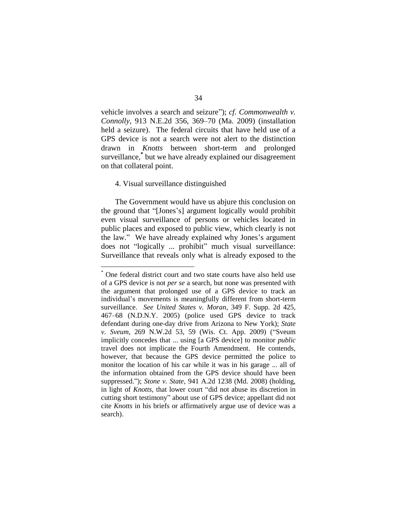34

vehicle involves a search and seizure"); *cf. Commonwealth v. Connolly*, 913 N.E.2d 356, 369–70 (Ma. 2009) (installation held a seizure). The federal circuits that have held use of a GPS device is not a search were not alert to the distinction drawn in *Knotts* between short-term and prolonged surveillance,**\*** but we have already explained our disagreement on that collateral point.

#### <span id="page-33-0"></span>4. Visual surveillance distinguished

 $\overline{a}$ 

The Government would have us abjure this conclusion on the ground that "[Jones's] argument logically would prohibit even visual surveillance of persons or vehicles located in public places and exposed to public view, which clearly is not the law.‖ We have already explained why Jones's argument does not "logically ... prohibit" much visual surveillance: Surveillance that reveals only what is already exposed to the

One federal district court and two state courts have also held use of a GPS device is not *per se* a search, but none was presented with the argument that prolonged use of a GPS device to track an individual's movements is meaningfully different from short-term surveillance. *See United States v. Moran*, 349 F. Supp. 2d 425, 467–68 (N.D.N.Y. 2005) (police used GPS device to track defendant during one-day drive from Arizona to New York); *State v. Sveum*, 269 N.W.2d 53, 59 (Wis. Ct. App. 2009) ("Sveum implicitly concedes that ... using [a GPS device] to monitor *public*  travel does not implicate the Fourth Amendment. He contends, however, that because the GPS device permitted the police to monitor the location of his car while it was in his garage ... all of the information obtained from the GPS device should have been suppressed.‖); *Stone v. State*, 941 A.2d 1238 (Md. 2008) (holding, in light of *Knotts*, that lower court "did not abuse its discretion in cutting short testimony" about use of GPS device; appellant did not cite *Knotts* in his briefs or affirmatively argue use of device was a search).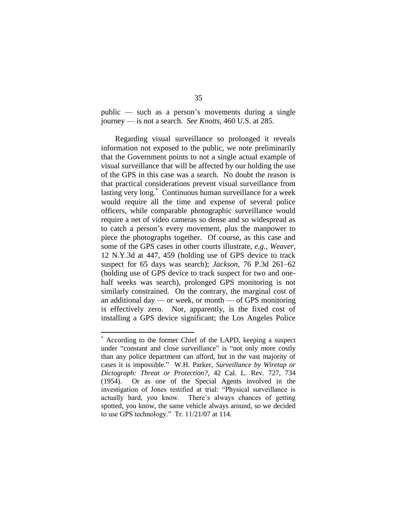public — such as a person's movements during a single journey — is not a search. *See Knotts*, 460 U.S. at 285.

Regarding visual surveillance so prolonged it reveals information not exposed to the public, we note preliminarily that the Government points to not a single actual example of visual surveillance that will be affected by our holding the use of the GPS in this case was a search. No doubt the reason is that practical considerations prevent visual surveillance from lasting very long.\* Continuous human surveillance for a week would require all the time and expense of several police officers, while comparable photographic surveillance would require a net of video cameras so dense and so widespread as to catch a person's every movement, plus the manpower to piece the photographs together. Of course, as this case and some of the GPS cases in other courts illustrate, *e.g.*, *Weaver*, 12 N.Y.3d at 447, 459 (holding use of GPS device to track suspect for 65 days was search); *Jackson*, 76 P.3d 261–62 (holding use of GPS device to track suspect for two and onehalf weeks was search), prolonged GPS monitoring is not similarly constrained. On the contrary, the marginal cost of an additional day — or week, or month — of GPS monitoring is effectively zero. Nor, apparently, is the fixed cost of installing a GPS device significant; the Los Angeles Police

 $\overline{a}$ 

<sup>\*</sup> According to the former Chief of the LAPD, keeping a suspect under "constant and close surveillance" is "not only more costly than any police department can afford, but in the vast majority of cases it is impossible.‖ W.H. Parker, *Surveillance by Wiretap or Dictograph: Threat or Protection?*, 42 Cal. L. Rev. 727, 734 (1954). Or as one of the Special Agents involved in the investigation of Jones testified at trial: "Physical surveillance is actually hard, you know. There's always chances of getting spotted, you know, the same vehicle always around, so we decided to use GPS technology." Tr. 11/21/07 at 114.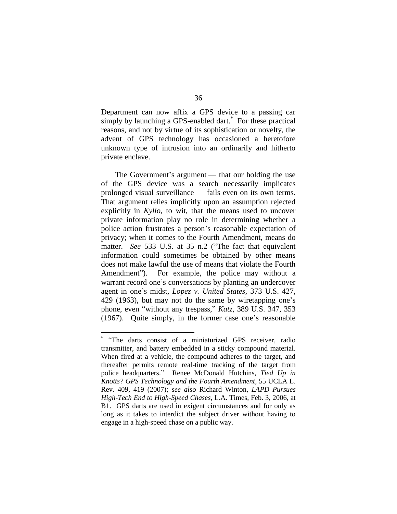Department can now affix a GPS device to a passing car simply by launching a GPS-enabled dart.<sup>\*</sup> For these practical reasons, and not by virtue of its sophistication or novelty, the advent of GPS technology has occasioned a heretofore unknown type of intrusion into an ordinarily and hitherto private enclave.

The Government's argument — that our holding the use of the GPS device was a search necessarily implicates prolonged visual surveillance — fails even on its own terms. That argument relies implicitly upon an assumption rejected explicitly in *Kyllo*, to wit, that the means used to uncover private information play no role in determining whether a police action frustrates a person's reasonable expectation of privacy; when it comes to the Fourth Amendment, means do matter. *See* 533 U.S. at 35 n.2 ("The fact that equivalent information could sometimes be obtained by other means does not make lawful the use of means that violate the Fourth Amendment"). For example, the police may without a warrant record one's conversations by planting an undercover agent in one's midst, *Lopez v. United States*, 373 U.S. 427, 429 (1963), but may not do the same by wiretapping one's phone, even "without any trespass," *Katz*, 389 U.S. 347, 353 (1967). Quite simply, in the former case one's reasonable

 \* ―The darts consist of a miniaturized GPS receiver, radio transmitter, and battery embedded in a sticky compound material. When fired at a vehicle, the compound adheres to the target, and thereafter permits remote real-time tracking of the target from police headquarters." Renee McDonald Hutchins, *Tied Up in Knotts? GPS Technology and the Fourth Amendment*, 55 UCLA L. Rev. 409, 419 (2007); *see also* Richard Winton, *LAPD Pursues High-Tech End to High-Speed Chases*, L.A. Times, Feb. 3, 2006, at B1. GPS darts are used in exigent circumstances and for only as long as it takes to interdict the subject driver without having to engage in a high-speed chase on a public way.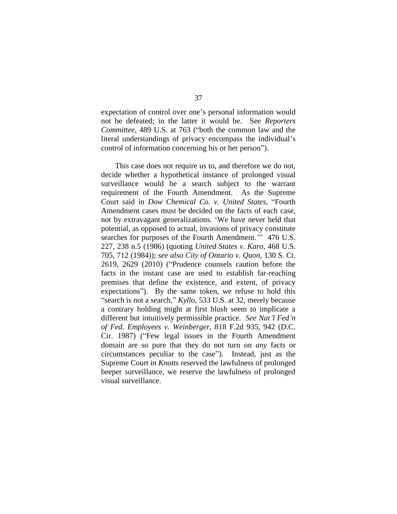expectation of control over one's personal information would not be defeated; in the latter it would be. See *Reporters Committee*, 489 U.S. at 763 ("both the common law and the literal understandings of privacy encompass the individual's control of information concerning his or her person").

This case does not require us to, and therefore we do not, decide whether a hypothetical instance of prolonged visual surveillance would be a search subject to the warrant requirement of the Fourth Amendment. As the Supreme Court said in *Dow Chemical Co. v. United States*, "Fourth Amendment cases must be decided on the facts of each case, not by extravagant generalizations. 'We have never held that potential, as opposed to actual, invasions of privacy constitute searches for purposes of the Fourth Amendment." 476 U.S. 227, 238 n.5 (1986) (quoting *United States v. Karo*, 468 U.S. 705, 712 (1984)); *see also City of Ontario v. Quon*, 130 S. Ct. 2619, 2629 (2010) ("Prudence counsels caution before the facts in the instant case are used to establish far-reaching premises that define the existence, and extent, of privacy expectations"). By the same token, we refuse to hold this "search is not a search," *Kyllo*, 533 U.S. at 32, merely because a contrary holding might at first blush seem to implicate a different but intuitively permissible practice. *See Nat'l Fed'n of Fed. Employees v. Weinberger*, 818 F.2d 935, 942 (D.C. Cir. 1987) ("Few legal issues in the Fourth Amendment" domain are so pure that they do not turn on *any* facts or circumstances peculiar to the case"). Instead, just as the Supreme Court in *Knotts* reserved the lawfulness of prolonged beeper surveillance, we reserve the lawfulness of prolonged visual surveillance.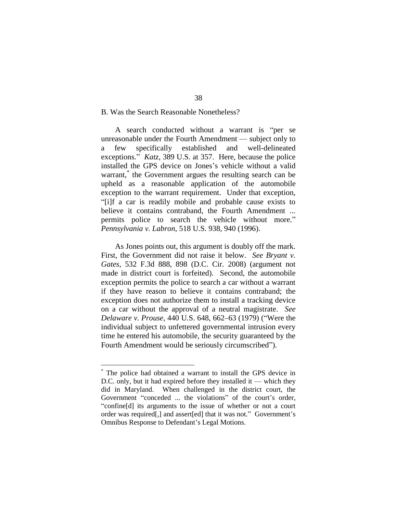# <span id="page-37-0"></span>B. Was the Search Reasonable Nonetheless?

A search conducted without a warrant is "per se unreasonable under the Fourth Amendment — subject only to a few specifically established and well-delineated exceptions." *Katz*, 389 U.S. at 357. Here, because the police installed the GPS device on Jones's vehicle without a valid warrant,<sup>\*</sup> the Government argues the resulting search can be upheld as a reasonable application of the automobile exception to the warrant requirement. Under that exception, ―[i]f a car is readily mobile and probable cause exists to believe it contains contraband, the Fourth Amendment ... permits police to search the vehicle without more." *Pennsylvania v. Labron*, 518 U.S. 938, 940 (1996).

As Jones points out, this argument is doubly off the mark. First, the Government did not raise it below. *See Bryant v. Gates*, 532 F.3d 888, 898 (D.C. Cir. 2008) (argument not made in district court is forfeited). Second, the automobile exception permits the police to search a car without a warrant if they have reason to believe it contains contraband; the exception does not authorize them to install a tracking device on a car without the approval of a neutral magistrate. *See Delaware v. Prouse*, 440 U.S. 648, 662–63 (1979) ("Were the individual subject to unfettered governmental intrusion every time he entered his automobile, the security guaranteed by the Fourth Amendment would be seriously circumscribed".

 $\overline{a}$ 

<sup>\*</sup> The police had obtained a warrant to install the GPS device in D.C. only, but it had expired before they installed it — which they did in Maryland. When challenged in the district court, the Government "conceded ... the violations" of the court's order, ―confine[d] its arguments to the issue of whether or not a court order was required[,] and assert[ed] that it was not." Government's Omnibus Response to Defendant's Legal Motions.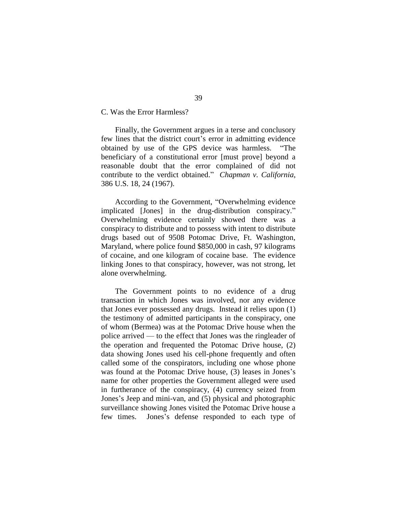<span id="page-38-0"></span>C. Was the Error Harmless?

Finally, the Government argues in a terse and conclusory few lines that the district court's error in admitting evidence obtained by use of the GPS device was harmless. "The beneficiary of a constitutional error [must prove] beyond a reasonable doubt that the error complained of did not contribute to the verdict obtained." *Chapman v. California*, 386 U.S. 18, 24 (1967).

According to the Government, "Overwhelming evidence" implicated [Jones] in the drug-distribution conspiracy." Overwhelming evidence certainly showed there was a conspiracy to distribute and to possess with intent to distribute drugs based out of 9508 Potomac Drive, Ft. Washington, Maryland, where police found \$850,000 in cash, 97 kilograms of cocaine, and one kilogram of cocaine base. The evidence linking Jones to that conspiracy, however, was not strong, let alone overwhelming.

The Government points to no evidence of a drug transaction in which Jones was involved, nor any evidence that Jones ever possessed any drugs.Instead it relies upon (1) the testimony of admitted participants in the conspiracy, one of whom (Bermea) was at the Potomac Drive house when the police arrived — to the effect that Jones was the ringleader of the operation and frequented the Potomac Drive house, (2) data showing Jones used his cell-phone frequently and often called some of the conspirators, including one whose phone was found at the Potomac Drive house, (3) leases in Jones's name for other properties the Government alleged were used in furtherance of the conspiracy, (4) currency seized from Jones's Jeep and mini-van, and (5) physical and photographic surveillance showing Jones visited the Potomac Drive house a few times. Jones's defense responded to each type of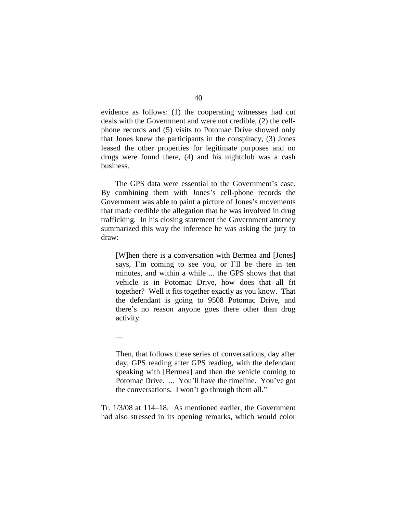evidence as follows: (1) the cooperating witnesses had cut deals with the Government and were not credible, (2) the cellphone records and (5) visits to Potomac Drive showed only that Jones knew the participants in the conspiracy, (3) Jones leased the other properties for legitimate purposes and no drugs were found there, (4) and his nightclub was a cash business.

The GPS data were essential to the Government's case. By combining them with Jones's cell-phone records the Government was able to paint a picture of Jones's movements that made credible the allegation that he was involved in drug trafficking. In his closing statement the Government attorney summarized this way the inference he was asking the jury to draw:

[W]hen there is a conversation with Bermea and [Jones] says, I'm coming to see you, or I'll be there in ten minutes, and within a while ... the GPS shows that that vehicle is in Potomac Drive, how does that all fit together? Well it fits together exactly as you know. That the defendant is going to 9508 Potomac Drive, and there's no reason anyone goes there other than drug activity.

....

Then, that follows these series of conversations, day after day, GPS reading after GPS reading, with the defendant speaking with [Bermea] and then the vehicle coming to Potomac Drive. ... You'll have the timeline. You've got the conversations. I won't go through them all."

Tr. 1/3/08 at 114–18. As mentioned earlier, the Government had also stressed in its opening remarks, which would color